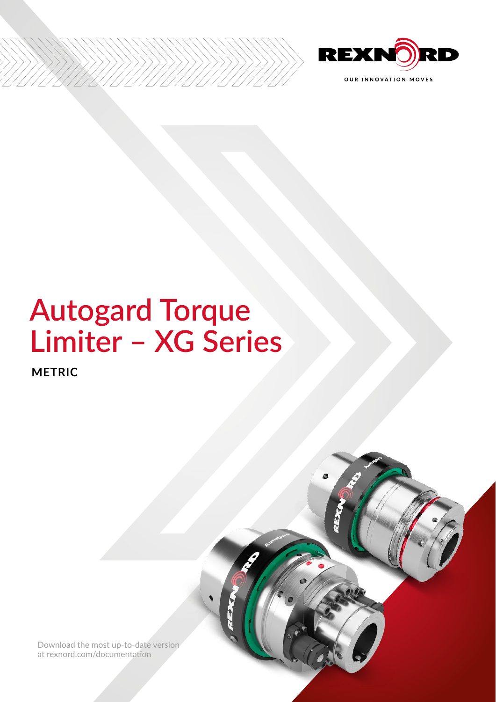

# Autogard Torque<br>Limiter - XG Series

**METRIC** 

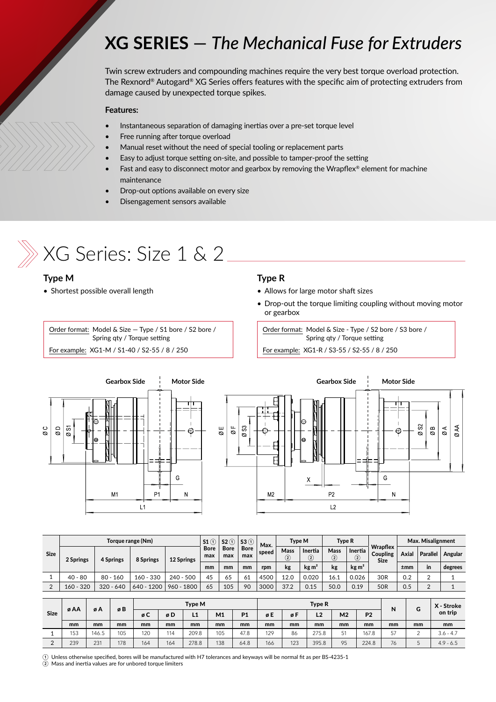### **XG SERIES** — *The Mechanical Fuse for Extruders*

Twin screw extruders and compounding machines require the very best torque overload protection. The Rexnord® Autogard® XG Series offers features with the specific aim of protecting extruders from damage caused by unexpected torque spikes.

### **Features:**

- Instantaneous separation of damaging inertias over a pre-set torque level
- Free running after torque overload
- Manual reset without the need of special tooling or replacement parts
- Easy to adjust torque setting on-site, and possible to tamper-proof the setting
- Fast and easy to disconnect motor and gearbox by removing the Wrapflex® element for machine maintenance
- Drop-out options available on every size
- Disengagement sensors available



# $\gg$  XG Series: Size 1 & 2  $\_$

### **Type M**

• Shortest possible overall length

### **Type R**

- Allows for large motor shaft sizes
- Drop-out the torque limiting coupling without moving motor or gearbox

Order format: Model & Size — Type / S1 bore / S2 bore / Spring qty / Torque setting

For example: XG1-M / S1-40 / S2-55 / 8 / 250

#### Order format: Model & Size - Type / S2 bore / S3 bore / Spring qty / Torque setting

For example: XG1-R / S3-55 / S2-55 / 8 / 250



| <b>Size</b> | Torque range (Nm) |             |             |              |                                          | $52$ ①             | 53 <sup>0</sup> | Max.             | Type M                       |                                  | <b>Type R</b> |                                            |                 | Max. Misalignment |         |         |
|-------------|-------------------|-------------|-------------|--------------|------------------------------------------|--------------------|-----------------|------------------|------------------------------|----------------------------------|---------------|--------------------------------------------|-----------------|-------------------|---------|---------|
|             | 2 Springs         | 4 Springs   | 8 Springs   | 12 Springs   | <b>Bore</b><br><b>Bore</b><br>max<br>max | <b>Bore</b><br>max | speed           | Mass<br>$\Omega$ | Inertia<br>$\left( 2\right)$ | <b>Mass</b><br>$\left( 2\right)$ | Inertia<br>C  | <b>Wrapflex</b><br>Coupling<br><b>Size</b> | Axial           | <b>Parallel</b>   | Angular |         |
|             |                   |             |             |              | mm                                       | mm                 | mm              | rpm              | kg                           | $\text{kg m}^2$                  | kg            | kg m <sup>2</sup>                          |                 | ±mm               | in      | degrees |
|             | $40 - 80$         | $80 - 160$  | $160 - 330$ | $240 - 500$  | 45                                       | 65                 | 61              | 4500             | 12.0                         | 0.020                            | 16.1          | 0.026                                      | 30R             | 0.2               |         |         |
| $\sim$      | $160 - 320$       | $320 - 640$ | 640 - 1200  | $960 - 1800$ | 65                                       | 105                | 90              | 3000             | 37.2                         | 0.15                             | 50.0          | 0.19                                       | 50 <sub>R</sub> | 0.5               |         |         |

| <b>Size</b> | øAA | øΑ    | øB  | Type M |     |       |     |           |     |     | Type R         | N              | G              | X - Stroke |    |             |
|-------------|-----|-------|-----|--------|-----|-------|-----|-----------|-----|-----|----------------|----------------|----------------|------------|----|-------------|
|             |     |       |     | øC     | øD  | L1    | M1  | <b>P1</b> | øE  | øF  | L <sub>2</sub> | M <sub>2</sub> | P <sub>2</sub> |            |    | on trip     |
|             | mm  | mm    | mm  | mm     | mm  | mm    | mm  | mm        | mm  | mm  | mm             | mm             | mm             | mm         | mm | mm          |
|             | 153 | 146.5 | 105 | 120    | 114 | 209.8 | 105 | 47.8      | 129 | 86  | 275.8          | 51             | 167.8          | 57         | ∸  | $3.6 - 4.7$ |
|             | 239 | 23'   | 178 | 164    | 164 | 278.8 | 138 | 64.8      | 166 | 123 | 395.8          | 95             | 224.8          | 76         | ◡  | $4.9 - 6.5$ |

 $\rm\odot$  Unless otherwise specified, bores will be manufactured with H7 tolerances and keyways will be normal fit as per BS-4235-1

② Mass and inertia values are for unbored torque limiters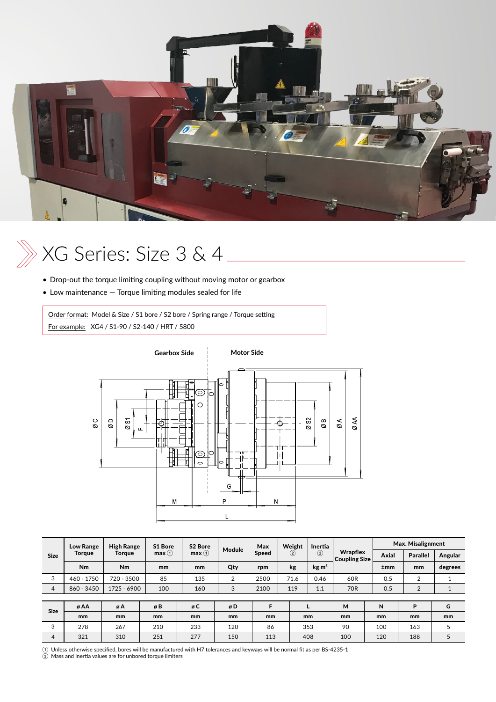

# XG Series: Size 3 & 4

- Drop-out the torque limiting coupling without moving motor or gearbox
- Low maintenance Torque limiting modules sealed for life

Order format: Model & Size / S1 bore / S2 bore / Spring range / Torque setting For example: XG4 / S1-90 / S2-140 / HRT / 5800



| <b>Low Range</b> | <b>High Range</b> | S1 Bore       | S2 Bore<br>max(1)<br>mm | Module<br>Qty  | Max<br><b>Speed</b><br>rpm | Weight<br>$\left( 2\right)$<br>kg | Inertia<br>(2)<br>$\text{kg m}^2$ |            | Max. Misalignment |                            |         |
|------------------|-------------------|---------------|-------------------------|----------------|----------------------------|-----------------------------------|-----------------------------------|------------|-------------------|----------------------------|---------|
| <b>Torque</b>    | Torque            | max(1)        |                         |                |                            |                                   |                                   |            | Axial             | <b>Parallel</b>            | Angular |
| N <sub>m</sub>   | Nm                | mm            |                         |                |                            |                                   |                                   |            | ±mm               | mm                         | degrees |
| 460 - 1750       | 720 - 3500        | 85            | 135                     | $\overline{2}$ | 2500                       | 71.6                              | 0.46                              | 60R        | 0.5               | $\overline{2}$             |         |
| 860 - 3450       | 1725 - 6900       | 100           | 160                     | 3              | 2100                       | 119                               | 1.1                               | <b>70R</b> | 0.5               | $\overline{2}$             |         |
|                  |                   |               |                         |                |                            |                                   |                                   |            |                   |                            |         |
| øA<br>ø AA       |                   | øB            | øC                      | øD             | F                          |                                   |                                   | М          | N                 | P                          | G       |
| mm               | mm                | <sub>mm</sub> | mm                      | mm             | mm                         | mm                                |                                   | mm         |                   | mm                         | mm      |
| 278              | 267               | 210           | 233                     | 120            | 86                         |                                   |                                   | 90         | 100               | 163                        |         |
| 321              | 310               | 251           | 277                     | 150            | 113                        |                                   |                                   | 100        | 120               | 188                        | 5       |
|                  |                   |               |                         |                |                            |                                   |                                   | 353<br>408 | Wrapflex          | <b>Coupling Size</b><br>mm |         |

① Unless otherwise specified, bores will be manufactured with H7 tolerances and keyways will be normal fit as per BS-4235-1 ② Mass and inertia values are for unbored torque limiters